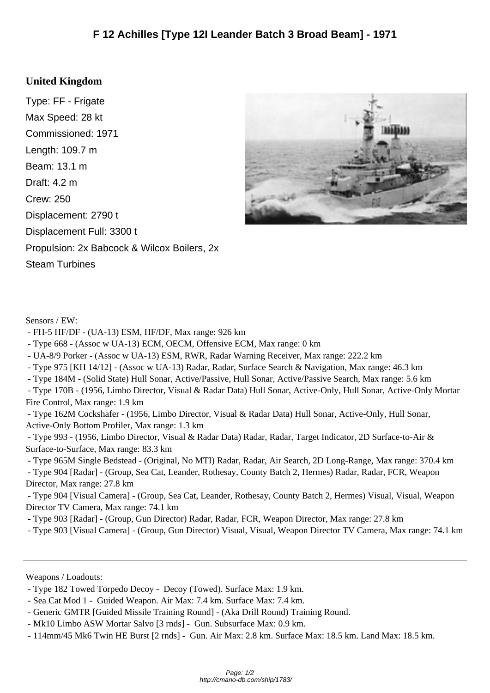## **United Kingd[om](http://cmano-db.com/ship/1783/)**

Type: FF - Frigate Max Speed: 28 kt Commissioned: 1971 Length: 109.7 m Beam: 13.1 m Draft: 4.2 m Crew: 250 Displacement: 2790 t Displacement Full: 3300 t Propulsion: 2x Babcock & Wilcox Boilers, 2x Steam Turbines



Sensors / EW:

- FH-5 HF/DF - (UA-13) ESM, HF/DF, Max range: 926 km

- Type 668 - (Assoc w UA-13) ECM, OECM, Offensive ECM, Max range: 0 km

- UA-8/9 Porker - (Assoc w UA-13) ESM, RWR, Radar Warning Receiver, Max range: 222.2 km

- Type 975 [KH 14/12] - (Assoc w UA-13) Radar, Radar, Surface Search & Navigation, Max range: 46.3 km

- Type 184M - (Solid State) Hull Sonar, Active/Passive, Hull Sonar, Active/Passive Search, Max range: 5.6 km

 - Type 170B - (1956, Limbo Director, Visual & Radar Data) Hull Sonar, Active-Only, Hull Sonar, Active-Only Mortar Fire Control, Max range: 1.9 km

 - Type 162M Cockshafer - (1956, Limbo Director, Visual & Radar Data) Hull Sonar, Active-Only, Hull Sonar, Active-Only Bottom Profiler, Max range: 1.3 km

 - Type 993 - (1956, Limbo Director, Visual & Radar Data) Radar, Radar, Target Indicator, 2D Surface-to-Air & Surface-to-Surface, Max range: 83.3 km

 - Type 965M Single Bedstead - (Original, No MTI) Radar, Radar, Air Search, 2D Long-Range, Max range: 370.4 km - Type 904 [Radar] - (Group, Sea Cat, Leander, Rothesay, County Batch 2, Hermes) Radar, Radar, FCR, Weapon

Director, Max range: 27.8 km

 - Type 904 [Visual Camera] - (Group, Sea Cat, Leander, Rothesay, County Batch 2, Hermes) Visual, Visual, Weapon Director TV Camera, Max range: 74.1 km

- Type 903 [Radar] - (Group, Gun Director) Radar, Radar, FCR, Weapon Director, Max range: 27.8 km

- Type 903 [Visual Camera] - (Group, Gun Director) Visual, Visual, Weapon Director TV Camera, Max range: 74.1 km

Weapons / Loadouts:

 <sup>-</sup> Type 182 Towed Torpedo Decoy - Decoy (Towed). Surface Max: 1.9 km.

 <sup>-</sup> Sea Cat Mod 1 - Guided Weapon. Air Max: 7.4 km. Surface Max: 7.4 km.

 <sup>-</sup> Generic GMTR [Guided Missile Training Round] - (Aka Drill Round) Training Round.

 <sup>-</sup> Mk10 Limbo ASW Mortar Salvo [3 rnds] - Gun. Subsurface Max: 0.9 km.

 <sup>- 114</sup>mm/45 Mk6 Twin HE Burst [2 rnds] - Gun. Air Max: 2.8 km. Surface Max: 18.5 km. Land Max: 18.5 km.